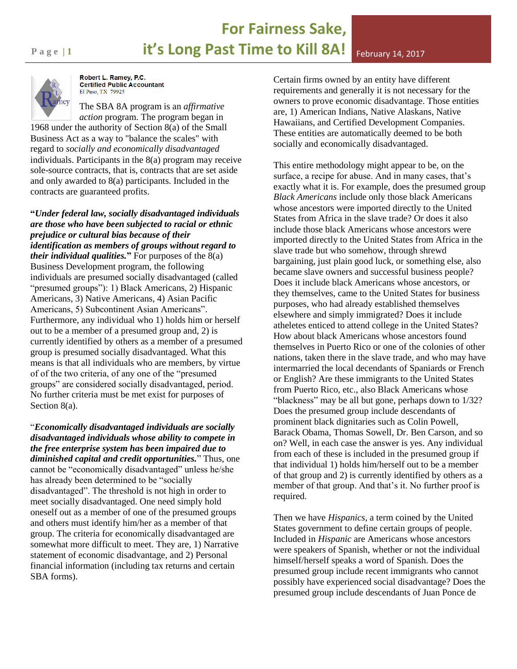## **For Fairness Sake, Page 11 12 it's Long Past Time to Kill 8A!** February 14, 2017



Robert L. Ramey, P.C. **Certified Public Accountant** El Paso, TX 79925

The SBA 8A program is an *affirmative action* program. The program began in 1968 under the authority of Section 8(a) of the Small Business Act as a way to "balance the scales" with regard to *socially and economically disadvantaged*  individuals. Participants in the 8(a) program may receive sole-source contracts, that is, contracts that are set aside and only awarded to 8(a) participants. Included in the contracts are guaranteed profits.

**"***Under federal law, socially disadvantaged individuals are those who have been subjected to racial or ethnic prejudice or cultural bias because of their identification as members of groups without regard to their individual qualities.***"** For purposes of the 8(a) Business Development program, the following individuals are presumed socially disadvantaged (called "presumed groups"): 1) Black Americans, 2) Hispanic Americans, 3) Native Americans, 4) Asian Pacific Americans, 5) Subcontinent Asian Americans". Furthermore, any individual who 1) holds him or herself out to be a member of a presumed group and, 2) is currently identified by others as a member of a presumed group is presumed socially disadvantaged. What this means is that all individuals who are members, by virtue of of the two criteria, of any one of the "presumed groups" are considered socially disadvantaged, period. No further criteria must be met exist for purposes of Section 8(a).

"*Economically disadvantaged individuals are socially disadvantaged individuals whose ability to compete in the free enterprise system has been impaired due to diminished capital and credit opportunities.*" Thus, one cannot be "economically disadvantaged" unless he/she has already been determined to be "socially disadvantaged". The threshold is not high in order to meet socially disadvantaged. One need simply hold oneself out as a member of one of the presumed groups and others must identify him/her as a member of that group. The criteria for economically disadvantaged are somewhat more difficult to meet. They are, 1) Narrative statement of economic disadvantage, and 2) Personal financial information (including tax returns and certain SBA forms).

Certain firms owned by an entity have different requirements and generally it is not necessary for the owners to prove economic disadvantage. Those entities are, 1) American Indians, Native Alaskans, Native Hawaiians, and Certified Development Companies. These entities are automatically deemed to be both socially and economically disadvantaged.

This entire methodology might appear to be, on the surface, a recipe for abuse. And in many cases, that's exactly what it is. For example, does the presumed group *Black Americans* include only those black Americans whose ancestors were imported directly to the United States from Africa in the slave trade? Or does it also include those black Americans whose ancestors were imported directly to the United States from Africa in the slave trade but who somehow, through shrewd bargaining, just plain good luck, or something else, also became slave owners and successful business people? Does it include black Americans whose ancestors, or they themselves, came to the United States for business purposes, who had already established themselves elsewhere and simply immigrated? Does it include atheletes enticed to attend college in the United States? How about black Americans whose ancestors found themselves in Puerto Rico or one of the colonies of other nations, taken there in the slave trade, and who may have intermarried the local decendants of Spaniards or French or English? Are these immigrants to the United States from Puerto Rico, etc., also Black Americans whose "blackness" may be all but gone, perhaps down to 1/32? Does the presumed group include descendants of prominent black dignitaries such as Colin Powell, Barack Obama, Thomas Sowell, Dr. Ben Carson, and so on? Well, in each case the answer is yes. Any individual from each of these is included in the presumed group if that individual 1) holds him/herself out to be a member of that group and 2) is currently identified by others as a member of that group. And that's it. No further proof is required.

Then we have *Hispanics*, a term coined by the United States government to define certain groups of people. Included in *Hispanic* are Americans whose ancestors were speakers of Spanish, whether or not the individual himself/herself speaks a word of Spanish. Does the presumed group include recent immigrants who cannot possibly have experienced social disadvantage? Does the presumed group include descendants of Juan Ponce de